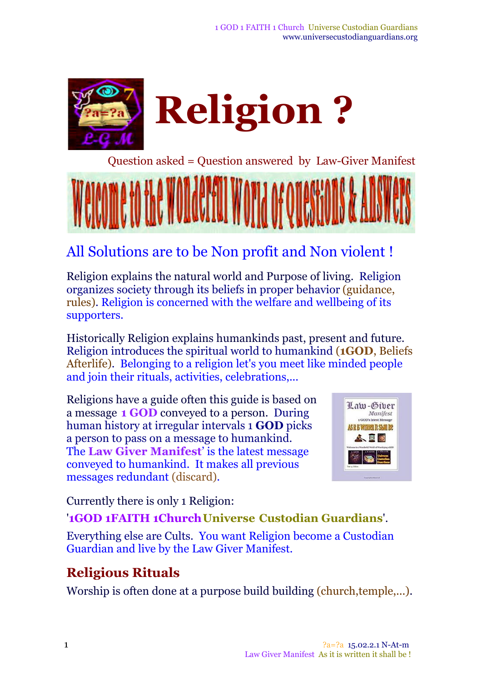

Question asked = Question answered by Law-Giver Manifest

## All Solutions are to be Non profit and Non violent !

Religion explains the natural world and Purpose of living. Religion organizes society through its beliefs in proper behavior (guidance, rules). Religion is concerned with the welfare and wellbeing of its supporters.

Historically Religion explains humankinds past, present and future. Religion introduces the spiritual world to humankind (**1GOD**, Beliefs Afterlife). Belonging to a religion let's you meet like minded people and join their rituals, activities, celebrations,...

Religions have a guide often this guide is based on a message **1 GOD** conveyed to a person. During human history at irregular intervals 1 **GOD** picks a person to pass on a message to humankind. The **Law Giver Manifest**' is the latest message conveyed to humankind. It makes all previous messages redundant (discard).



Currently there is only 1 Religion:

'**1GOD 1FAITH 1ChurchUniverse Custodian Guardians**'.

Everything else are Cults. You want Religion become a Custodian Guardian and live by the Law Giver Manifest.

#### **Religious Rituals**

Worship is often done at a purpose build building (church, temple,...).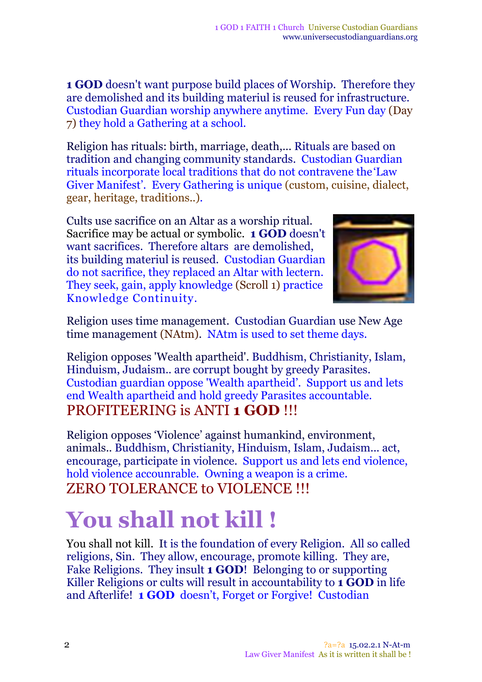**1 GOD** doesn't want purpose build places of Worship. Therefore they are demolished and its building materiul is reused for infrastructure. Custodian Guardian worship anywhere anytime. Every Fun day (Day 7) they hold a Gathering at a school.

Religion has rituals: birth, marriage, death,... Rituals are based on tradition and changing community standards. Custodian Guardian rituals incorporate local traditions that do not contravene the'Law Giver Manifest'. Every Gathering is unique (custom, cuisine, dialect, gear, heritage, traditions..).

Cults use sacrifice on an Altar as a worship ritual. Sacrifice may be actual or symbolic. **1 GOD** doesn't want sacrifices. Therefore altars are demolished, its building materiul is reused. Custodian Guardian do not sacrifice, they replaced an Altar with lectern. They seek, gain, apply knowledge (Scroll 1) practice Knowledge Continuity.



Religion uses time management. Custodian Guardian use New Age time management (NAtm). NAtm is used to set theme days.

Religion opposes 'Wealth apartheid'. Buddhism, Christianity, Islam, Hinduism, Judaism.. are corrupt bought by greedy Parasites. Custodian guardian oppose 'Wealth apartheid'. Support us and lets end Wealth apartheid and hold greedy Parasites accountable. PROFITEERING is ANTI **1 GOD** !!!

Religion opposes 'Violence' against humankind, environment, animals.. Buddhism, Christianity, Hinduism, Islam, Judaism... act, encourage, participate in violence. Support us and lets end violence, hold violence accounrable. Owning a weapon is a crime. ZERO TOLERANCE to VIOLENCE !!!

# **You shall not kill !**

You shall not kill. It is the foundation of every Religion. All so called religions, Sin. They allow, encourage, promote killing. They are, Fake Religions. They insult **1 GOD**! Belonging to or supporting Killer Religions or cults will result in accountability to **1 GOD** in life and Afterlife! **1 GOD** doesn't, Forget or Forgive! Custodian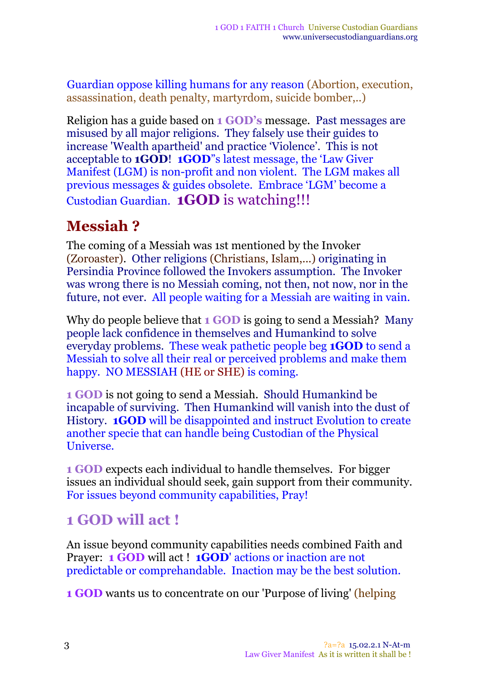Guardian oppose killing humans for any reason (Abortion, execution, assassination, death penalty, martyrdom, suicide bomber,..)

Religion has a guide based on **1 GOD's** message. Past messages are misused by all major religions. They falsely use their guides to increase 'Wealth apartheid' and practice 'Violence'. This is not acceptable to **1GOD**! **1GOD**"s latest message, the 'Law Giver Manifest (LGM) is non-profit and non violent. The LGM makes all previous messages & guides obsolete. Embrace 'LGM' become a Custodian Guardian. **1GOD** is watching!!!

#### **Messiah ?**

The coming of a Messiah was 1st mentioned by the Invoker (Zoroaster). Other religions (Christians, Islam,...) originating in Persindia Province followed the Invokers assumption. The Invoker was wrong there is no Messiah coming, not then, not now, nor in the future, not ever. All people waiting for a Messiah are waiting in vain.

Why do people believe that **1 GOD** is going to send a Messiah? Many people lack confidence in themselves and Humankind to solve everyday problems. These weak pathetic people beg **1GOD** to send a Messiah to solve all their real or perceived problems and make them happy. NO MESSIAH (HE or SHE) is coming.

**1 GOD** is not going to send a Messiah. Should Humankind be incapable of surviving. Then Humankind will vanish into the dust of History. **1GOD** will be disappointed and instruct Evolution to create another specie that can handle being Custodian of the Physical Universe.

**1 GOD** expects each individual to handle themselves. For bigger issues an individual should seek, gain support from their community. For issues beyond community capabilities, Pray!

#### **1 GOD will act !**

An issue beyond community capabilities needs combined Faith and Prayer: **1 GOD** will act ! **1GOD**' actions or inaction are not predictable or comprehandable. Inaction may be the best solution.

**1 GOD** wants us to concentrate on our 'Purpose of living' (helping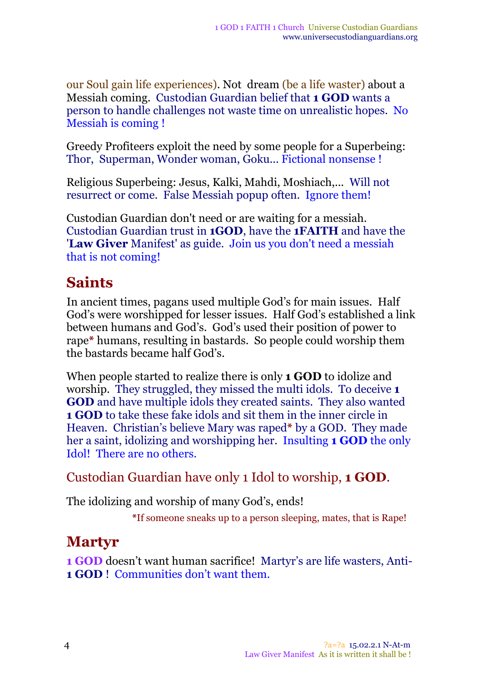our Soul gain life experiences). Not dream (be a life waster) about a Messiah coming. Custodian Guardian belief that **1 GOD** wants a person to handle challenges not waste time on unrealistic hopes. No Messiah is coming !

Greedy Profiteers exploit the need by some people for a Superbeing: Thor, Superman, Wonder woman, Goku... Fictional nonsense !

Religious Superbeing: Jesus, Kalki, Mahdi, Moshiach,... Will not resurrect or come. False Messiah popup often. Ignore them!

Custodian Guardian don't need or are waiting for a messiah. Custodian Guardian trust in **1GOD**, have the **1FAITH** and have the '**Law Giver** Manifest' as guide. Join us you don't need a messiah that is not coming!

#### **Saints**

In ancient times, pagans used multiple God's for main issues. Half God's were worshipped for lesser issues. Half God's established a link between humans and God's. God's used their position of power to rape**\*** humans, resulting in bastards. So people could worship them the bastards became half God's.

When people started to realize there is only **1 GOD** to idolize and worship. They struggled, they missed the multi idols. To deceive **1 GOD** and have multiple idols they created saints. They also wanted **1 GOD** to take these fake idols and sit them in the inner circle in Heaven. Christian's believe Mary was raped**\*** by a GOD. They made her a saint, idolizing and worshipping her. Insulting **1 GOD** the only Idol! There are no others.

#### Custodian Guardian have only 1 Idol to worship, **1 GOD**.

The idolizing and worship of many God's, ends!

**\***If someone sneaks up to a person sleeping, mates, that is Rape!

## **Martyr**

**1 GOD** doesn't want human sacrifice! Martyr's are life wasters, Anti-**1 GOD** ! Communities don't want them.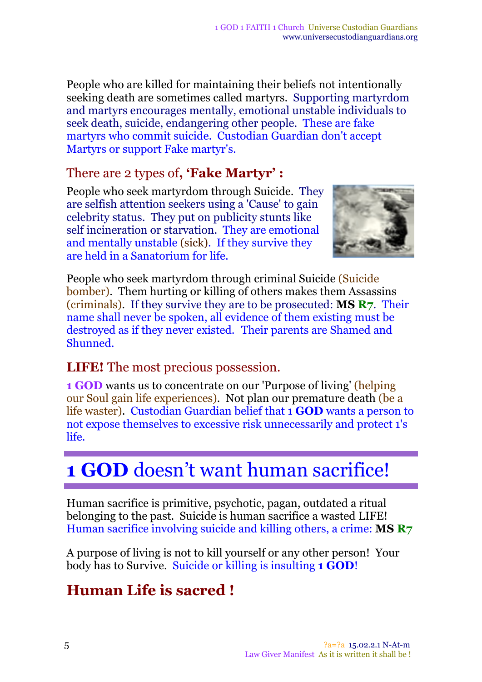People who are killed for maintaining their beliefs not intentionally seeking death are sometimes called martyrs. Supporting martyrdom and martyrs encourages mentally, emotional unstable individuals to seek death, suicide, endangering other people. These are fake martyrs who commit suicide. Custodian Guardian don't accept Martyrs or support Fake martyr's.

#### There are 2 types of**, 'Fake Martyr' :**

People who seek martyrdom through Suicide. They are selfish attention seekers using a 'Cause' to gain celebrity status. They put on publicity stunts like self incineration or starvation. They are emotional and mentally unstable (sick). If they survive they are held in a Sanatorium for life.



People who seek martyrdom through criminal Suicide (Suicide bomber). Them hurting or killing of others makes them Assassins (criminals). If they survive they are to be prosecuted: **MS R7**. Their name shall never be spoken, all evidence of them existing must be destroyed as if they never existed. Their parents are Shamed and Shunned.

#### **LIFE!** The most precious possession.

**1 GOD** wants us to concentrate on our 'Purpose of living' (helping our Soul gain life experiences)*.* Not plan our premature death (be a life waster). Custodian Guardian belief that 1 **GOD** wants a person to not expose themselves to excessive risk unnecessarily and protect 1's life.

# **1 GOD** doesn't want human sacrifice!

Human sacrifice is primitive, psychotic, pagan, outdated a ritual belonging to the past. Suicide is human sacrifice a wasted LIFE! Human sacrifice involving suicide and killing others, a crime: **MS R7**

A purpose of living is not to kill yourself or any other person! Your body has to Survive. Suicide or killing is insulting **1 GOD**!

## **Human Life is sacred !**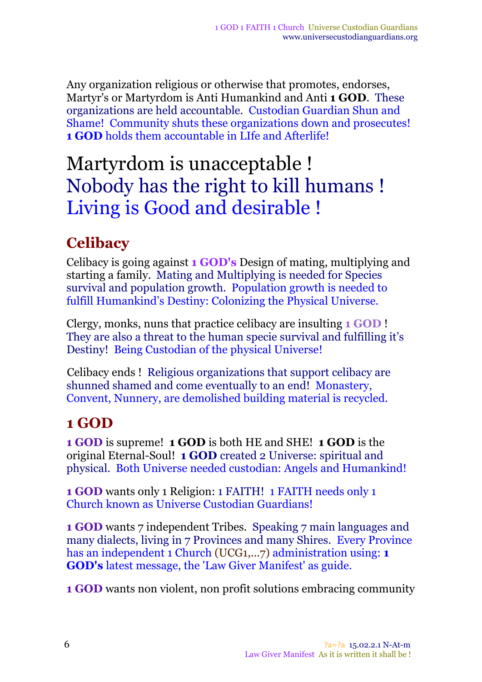Any organization religious or otherwise that promotes, endorses, Martyr's or Martyrdom is Anti Humankind and Anti **1 GOD**. These organizations are held accountable. Custodian Guardian Shun and Shame! Community shuts these organizations down and prosecutes! **1 GOD** holds them accountable in LIfe and Afterlife!

# Martyrdom is unacceptable ! Nobody has the right to kill humans ! Living is Good and desirable !

#### **Celibacy**

Celibacy is going against **1 GOD's** Design of mating, multiplying and starting a family. Mating and Multiplying is needed for Species survival and population growth. Population growth is needed to fulfill Humankind's Destiny: Colonizing the Physical Universe.

Clergy, monks, nuns that practice celibacy are insulting **1 GOD** ! They are also a threat to the human specie survival and fulfilling it's Destiny! Being Custodian of the physical Universe!

Celibacy ends ! Religious organizations that support celibacy are shunned shamed and come eventually to an end! Monastery, Convent, Nunnery, are demolished building material is recycled.

## **1 GOD**

**1 GOD** is supreme! **1 GOD** is both HE and SHE! **1 GOD** is the original Eternal-Soul! **1 GOD** created 2 Universe: spiritual and physical. Both Universe needed custodian: Angels and Humankind!

**1 GOD** wants only 1 Religion: 1 FAITH! 1 FAITH needs only 1 Church known as Universe Custodian Guardians!

**1 GOD** wants 7 independent Tribes. Speaking 7 main languages and many dialects, living in 7 Provinces and many Shires. Every Province has an independent 1 Church (UCG1,...7) administration using: **1 GOD's** latest message, the 'Law Giver Manifest' as guide.

**1 GOD** wants non violent, non profit solutions embracing community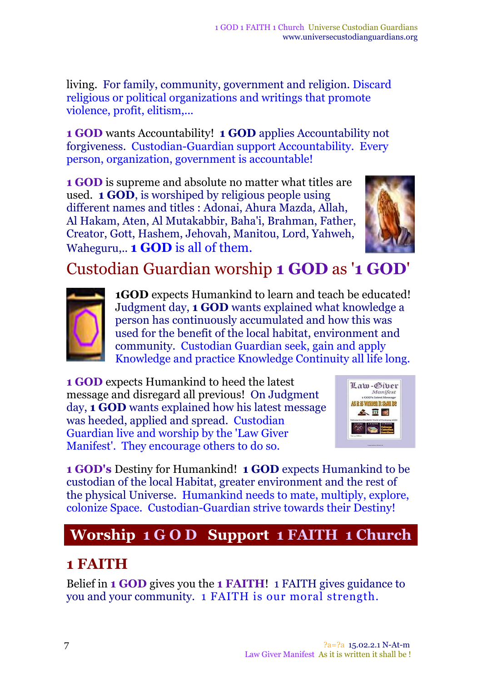living. For family, community, government and religion. Discard religious or political organizations and writings that promote violence, profit, elitism,...

**1 GOD** wants Accountability! **1 GOD** applies Accountability not forgiveness. Custodian-Guardian support Accountability. Every person, organization, government is accountable!

**1 GOD** is supreme and absolute no matter what titles are used. **1 GOD**, is worshiped by religious people using different names and titles : Adonai, Ahura Mazda, Allah, Al Hakam, Aten, Al Mutakabbir, Baha'i, Brahman, Father, Creator, Gott, Hashem, Jehovah, Manitou, Lord, Yahweh, Waheguru,.. **1 GOD** is all of them.



## Custodian Guardian worship **1 GOD** as '**1 GOD**'



**1GOD** expects Humankind to learn and teach be educated! Judgment day, **1 GOD** wants explained what knowledge a person has continuously accumulated and how this was used for the benefit of the local habitat, environment and community. Custodian Guardian seek, gain and apply Knowledge and practice Knowledge Continuity all life long.

**1 GOD** expects Humankind to heed the latest message and disregard all previous! On Judgment day, **1 GOD** wants explained how his latest message was heeded, applied and spread. Custodian Guardian live and worship by the 'Law Giver Manifest'. They encourage others to do so.



**1 GOD's** Destiny for Humankind! **1 GOD** expects Humankind to be custodian of the local Habitat, greater environment and the rest of the physical Universe. Humankind needs to mate, multiply, explore, colonize Space. Custodian-Guardian strive towards their Destiny!

## **Worship 1 G O D Support 1 FAITH 1 Church**

## **1 FAITH**

Belief in **1 GOD** gives you the **1 FAITH**! 1 FAITH gives guidance to you and your community. 1 FAITH is our moral strength.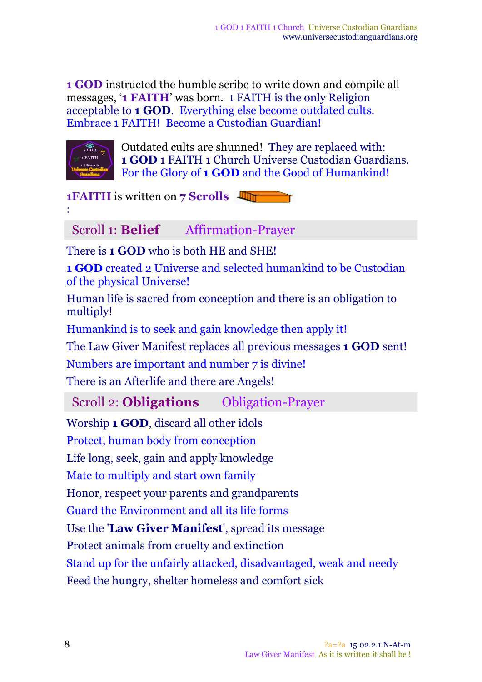**1 GOD** instructed the humble scribe to write down and compile all messages, '**1 FAITH**' was born. 1 FAITH is the only Religion acceptable to **1 GOD**. Everything else become outdated cults. Embrace 1 FAITH! Become a Custodian Guardian!



Outdated cults are shunned! They are replaced with: **1 GOD** 1 FAITH 1 Church Universe Custodian Guardians. For the Glory of **1 GOD** and the Good of Humankind!

**1FAITH** is written on **7 Scrolls** :

Scroll 1: **Belief** Affirmation-Prayer

There is **1 GOD** who is both HE and SHE!

**1 GOD** created 2 Universe and selected humankind to be Custodian of the physical Universe!

Human life is sacred from conception and there is an obligation to multiply!

Humankind is to seek and gain knowledge then apply it!

The Law Giver Manifest replaces all previous messages **1 GOD** sent!

Numbers are important and number 7 is divine!

There is an Afterlife and there are Angels!

Scroll 2: **Obligations** Obligation-Prayer

Worship **1 GOD**, discard all other idols

Protect, human body from conception

Life long, seek, gain and apply knowledge

Mate to multiply and start own family

Honor, respect your parents and grandparents

Guard the Environment and all its life forms

Use the '**Law Giver Manifest**', spread its message

Protect animals from cruelty and extinction

Stand up for the unfairly attacked, disadvantaged, weak and needy

Feed the hungry, shelter homeless and comfort sick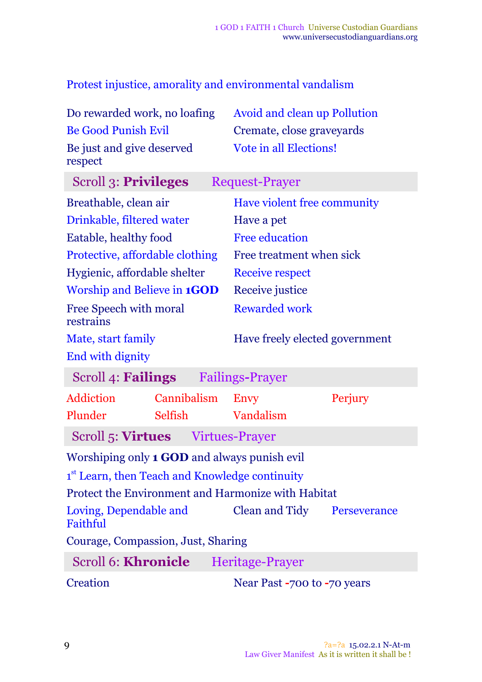Protest injustice, amorality and environmental vandalism

| Do rewarded work, no loafing                               |             | <b>Avoid and clean up Pollution</b> |         |  |
|------------------------------------------------------------|-------------|-------------------------------------|---------|--|
| <b>Be Good Punish Evil</b>                                 |             | Cremate, close graveyards           |         |  |
| Be just and give deserved<br>respect                       |             | Vote in all Elections!              |         |  |
| Scroll 3: Privileges<br><b>Request-Prayer</b>              |             |                                     |         |  |
| Breathable, clean air                                      |             | Have violent free community         |         |  |
| Drinkable, filtered water                                  |             | Have a pet                          |         |  |
| Eatable, healthy food                                      |             | <b>Free education</b>               |         |  |
| Protective, affordable clothing                            |             | Free treatment when sick            |         |  |
| Hygienic, affordable shelter                               |             | <b>Receive respect</b>              |         |  |
| Worship and Believe in <b>1GOD</b>                         |             | Receive justice                     |         |  |
| Free Speech with moral<br>restrains                        |             | <b>Rewarded work</b>                |         |  |
| Mate, start family                                         |             | Have freely elected government      |         |  |
| End with dignity                                           |             |                                     |         |  |
| Scroll 4: <b>Failings</b><br><b>Failings-Prayer</b>        |             |                                     |         |  |
| Addiction                                                  | Cannibalism | <b>Envy</b>                         | Perjury |  |
| Plunder                                                    | Selfish     | Vandalism                           |         |  |
| Scroll 5: <b>Virtues</b> Virtues-Prayer                    |             |                                     |         |  |
| Worshiping only 1 GOD and always punish evil               |             |                                     |         |  |
| 1 <sup>st</sup> Learn, then Teach and Knowledge continuity |             |                                     |         |  |
| Protect the Environment and Harmonize with Habitat         |             |                                     |         |  |
| Loving, Dependable and<br>Faithful                         |             | Clean and Tidy Perseverance         |         |  |
| Courage, Compassion, Just, Sharing                         |             |                                     |         |  |
| Scroll 6: Khronicle Heritage-Prayer                        |             |                                     |         |  |

Creation Near Past **-**700 to **-**70 years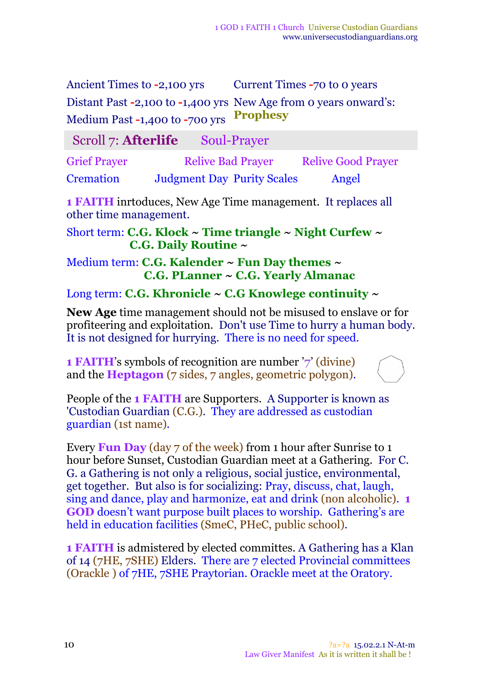Ancient Times to **-2,100** yrs Current Times **-70** to 0 years Distant Past **-**2,100 to **-**1,400 yrs New Age from 0 years onward's: Medium Past **-**1,400 to **-**700 yrs **Prophesy** 

#### Scroll 7: **Afterlife** Soul-Prayer

Grief Prayer Relive Bad Prayer Relive Good Prayer Cremation Judgment Day Purity Scales Angel

**1 FAITH** inrtoduces, New Age Time management. It replaces all other time management.

Short term: **C.G. Klock ~ Time triangle ~ Night Curfew ~ C.G. Daily Routine ~**

Medium term: **C.G. Kalender ~ Fun Day themes ~ C.G. PLanner ~ C.G. Yearly Almanac**

#### Long term: **C.G. Khronicle ~ C.G Knowlege continuity ~**

**New Age** time management should not be misused to enslave or for profiteering and exploitation. Don't use Time to hurry a human body. It is not designed for hurrying. There is no need for speed.

**1 FAITH**'s symbols of recognition are number '**7**' (divine) and the **Heptagon** (7 sides, 7 angles, geometric polygon).



People of the **1 FAITH** are Supporters. A Supporter is known as 'Custodian Guardian (C.G.). They are addressed as custodian guardian (1st name)*.*

Every **Fun Day** (day 7 of the week) from 1 hour after Sunrise to 1 hour before Sunset, Custodian Guardian meet at a Gathering. For C. G. a Gathering is not only a religious, social justice, environmental, get together. But also is for socializing: Pray, discuss, chat, laugh, sing and dance, play and harmonize, eat and drink (non alcoholic). **1 GOD** doesn't want purpose built places to worship. Gathering's are held in education facilities (SmeC, PHeC, public school).

**1 FAITH** is admistered by elected committes. A Gathering has a Klan of 14 (7HE, 7SHE) Elders. There are 7 elected Provincial committees (Orackle ) of 7HE, 7SHE Praytorian. Orackle meet at the Oratory.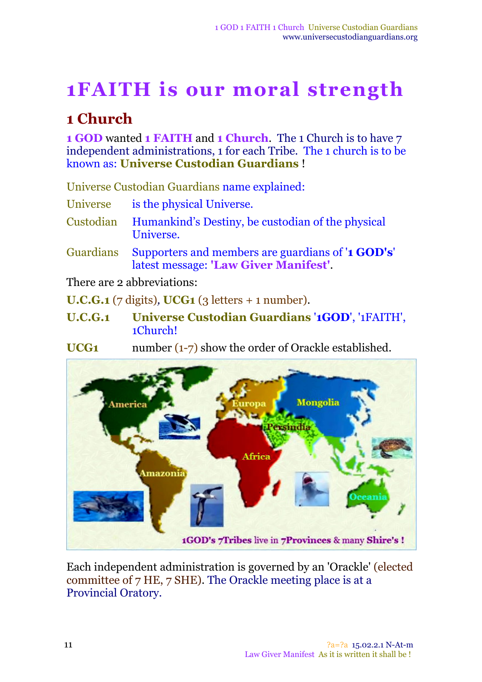# **1FAITH is our moral strength**

#### **1 Church**

**1 GOD** wanted **1 FAITH** and **1 Church**. The 1 Church is to have 7 independent administrations, 1 for each Tribe. The 1 church is to be known as: **Universe Custodian Guardians** !

Universe Custodian Guardians name explained:

Universe is the physical Universe.

- Custodian Humankind's Destiny, be custodian of the physical Universe.
- Guardians Supporters and members are guardians of '**1 GOD's**' latest message: **'Law Giver Manifest'**.

There are 2 abbreviations:

**U.C.G.1** (7 digits)*,* **UCG1** (3 letters + 1 number).

- **U.C.G.1 Universe Custodian Guardians** '**1GOD**', '1FAITH', 1Church!
- **UCG1** number (1-7) show the order of Orackle established.



Each independent administration is governed by an 'Orackle' (elected committee of 7 HE, 7 SHE). The Orackle meeting place is at a Provincial Oratory.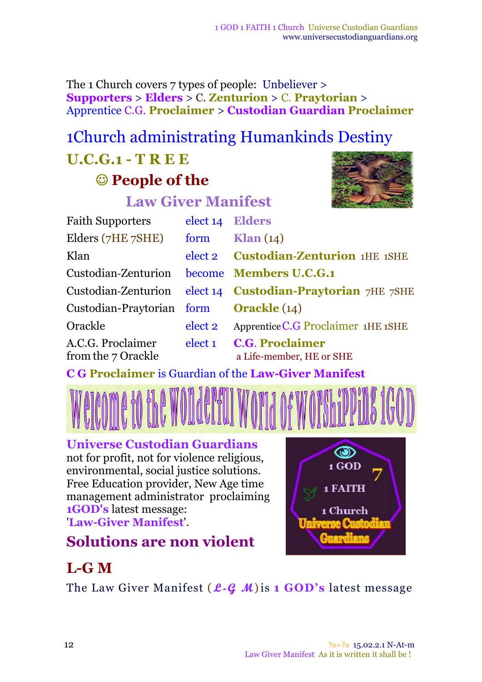The 1 Church covers 7 types of people: Unbeliever > **Supporters** > **Elders** > C. **Zenturion** > C. **Praytorian** > Apprentice C.G. **Proclaimer** > **Custodian Guardian Proclaimer**

# 1Church administrating Humankinds Destiny

# **U.C.G.1 - T R E E**

## **People of the**

# **Law Giver Manifest**



| <b>Faith Supporters</b>                 | elect 14 Elders    |                                                    |
|-----------------------------------------|--------------------|----------------------------------------------------|
| Elders (7HE 7SHE)                       | form               | $\mathrm{Klan}\left(14\right)$                     |
| Klan                                    |                    | elect 2 Custodian-Zenturion 1HE 1SHE               |
| Custodian-Zenturion                     |                    | become Members U.C.G.1                             |
| Custodian-Zenturion                     |                    | elect 14 Custodian-Praytorian 7HE 7SHE             |
| Custodian-Praytorian form               |                    | <b>Orackle</b> $(14)$                              |
| Orackle                                 | elect 2            | Apprentice C.G Proclaimer 1HE 1SHE                 |
| A.C.G. Proclaimer<br>from the 7 Orackle | elect <sub>1</sub> | <b>C.G. Proclaimer</b><br>a Life-member, HE or SHE |

**C G Proclaimer** is Guardian of the **Law-Giver Manifest**



#### **Universe Custodian Guardians**

not for profit, not for violence religious, environmental, social justice solutions. Free Education provider, New Age time management administrator proclaiming **1GOD's** latest message: '**Law-Giver Manifest**'.

# **Solutions are non violent**



## **L-G M**

The Law Giver Manifest ( **L-G M**)is **1 GOD's** latest message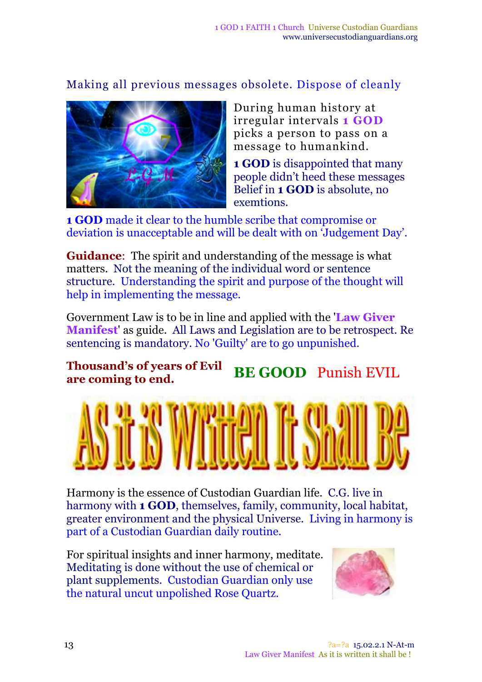#### Making all previous messages obsolete. Dispose of cleanly



During human history at irregular intervals **1 GOD** picks a person to pass on a message to humankind.

**1 GOD** is disappointed that many people didn't heed these messages Belief in **1 GOD** is absolute, no exemtions.

**1 GOD** made it clear to the humble scribe that compromise or deviation is unacceptable and will be dealt with on 'Judgement Day'.

**Guidance**: The spirit and understanding of the message is what matters. Not the meaning of the individual word or sentence structure. Understanding the spirit and purpose of the thought will help in implementing the message.

Government Law is to be in line and applied with the '**Law Giver Manifest**' as guide. All Laws and Legislation are to be retrospect. Re sentencing is mandatory. No 'Guilty' are to go unpunished.

**Thousand's of years of Evil are coming to end. BE GOOD** Punish EVIL



Harmony is the essence of Custodian Guardian life. C.G. live in harmony with **1 GOD**, themselves, family, community, local habitat, greater environment and the physical Universe. Living in harmony is part of a Custodian Guardian daily routine.

For spiritual insights and inner harmony, meditate. Meditating is done without the use of chemical or plant supplements. Custodian Guardian only use the natural uncut unpolished Rose Quartz.